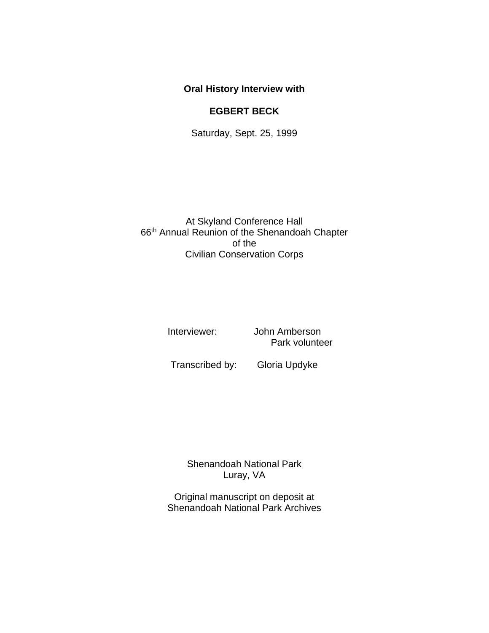## **Oral History Interview with**

## **EGBERT BECK**

Saturday, Sept. 25, 1999

At Skyland Conference Hall 66th Annual Reunion of the Shenandoah Chapter of the Civilian Conservation Corps

Interviewer: John Amberson Park volunteer

Transcribed by: Gloria Updyke

Shenandoah National Park Luray, VA

Original manuscript on deposit at Shenandoah National Park Archives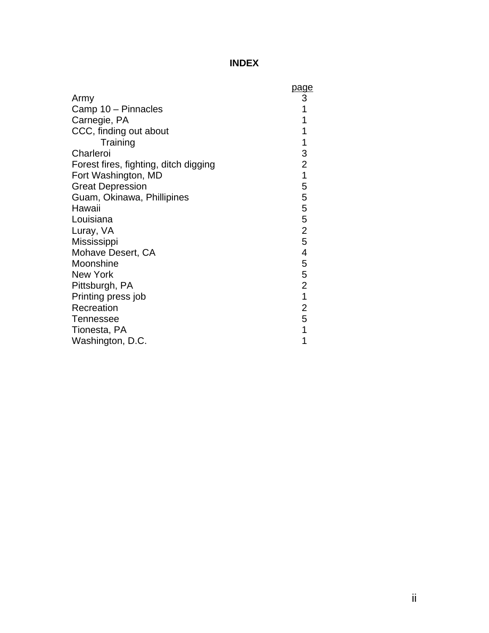## **INDEX**

|                                       | <u>page</u>              |
|---------------------------------------|--------------------------|
| Army                                  |                          |
| Camp 10 - Pinnacles                   | 3<br>1                   |
| Carnegie, PA                          |                          |
| CCC, finding out about                | 1                        |
| Training                              | 1                        |
| Charleroi                             | 3                        |
| Forest fires, fighting, ditch digging | $\overline{c}$           |
| Fort Washington, MD                   | $\overline{1}$           |
| <b>Great Depression</b>               | 5                        |
| Guam, Okinawa, Phillipines            | 5                        |
| Hawaii                                | $\frac{5}{5}$            |
| Louisiana                             |                          |
| Luray, VA                             | $\overline{2}$           |
| Mississippi                           | 5                        |
| Mohave Desert, CA                     | $\overline{\mathcal{A}}$ |
| Moonshine                             | $\mathbf 5$              |
| New York                              | $\frac{5}{2}$            |
| Pittsburgh, PA                        |                          |
| Printing press job                    | $\overline{1}$           |
| Recreation                            | $\overline{2}$           |
| Tennessee                             | 5                        |
| Tionesta, PA                          | 1                        |
| Washington, D.C.                      | 1                        |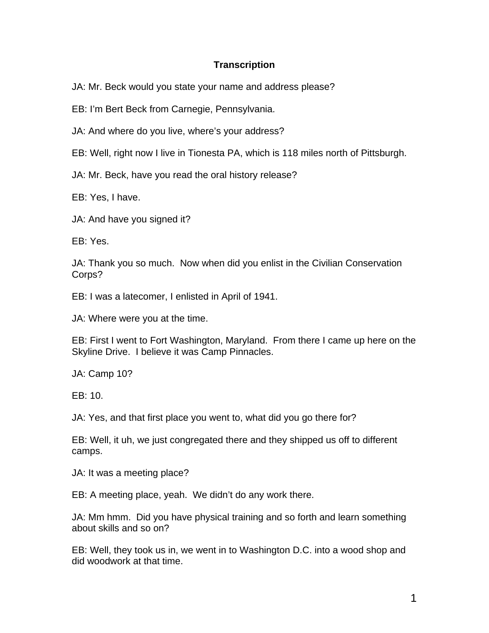## **Transcription**

JA: Mr. Beck would you state your name and address please?

EB: I'm Bert Beck from Carnegie, Pennsylvania.

JA: And where do you live, where's your address?

EB: Well, right now I live in Tionesta PA, which is 118 miles north of Pittsburgh.

JA: Mr. Beck, have you read the oral history release?

EB: Yes, I have.

JA: And have you signed it?

EB: Yes.

JA: Thank you so much. Now when did you enlist in the Civilian Conservation Corps?

EB: I was a latecomer, I enlisted in April of 1941.

JA: Where were you at the time.

EB: First I went to Fort Washington, Maryland. From there I came up here on the Skyline Drive. I believe it was Camp Pinnacles.

JA: Camp 10?

EB: 10.

JA: Yes, and that first place you went to, what did you go there for?

EB: Well, it uh, we just congregated there and they shipped us off to different camps.

JA: It was a meeting place?

EB: A meeting place, yeah. We didn't do any work there.

JA: Mm hmm. Did you have physical training and so forth and learn something about skills and so on?

EB: Well, they took us in, we went in to Washington D.C. into a wood shop and did woodwork at that time.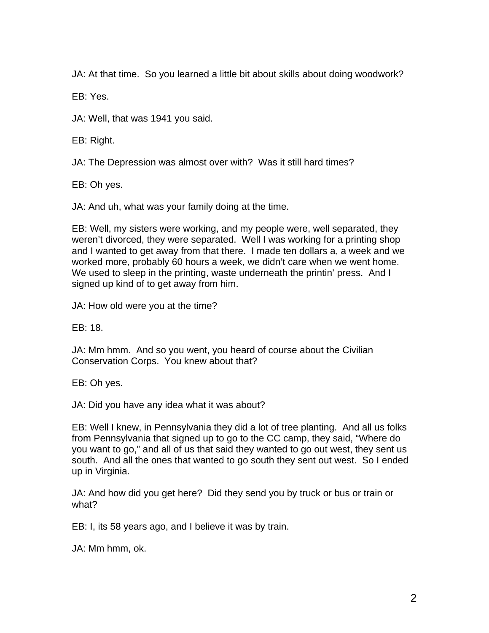JA: At that time. So you learned a little bit about skills about doing woodwork?

EB: Yes.

JA: Well, that was 1941 you said.

EB: Right.

JA: The Depression was almost over with? Was it still hard times?

EB: Oh yes.

JA: And uh, what was your family doing at the time.

EB: Well, my sisters were working, and my people were, well separated, they weren't divorced, they were separated. Well I was working for a printing shop and I wanted to get away from that there. I made ten dollars a, a week and we worked more, probably 60 hours a week, we didn't care when we went home. We used to sleep in the printing, waste underneath the printin' press. And I signed up kind of to get away from him.

JA: How old were you at the time?

EB: 18.

JA: Mm hmm. And so you went, you heard of course about the Civilian Conservation Corps. You knew about that?

EB: Oh yes.

JA: Did you have any idea what it was about?

EB: Well I knew, in Pennsylvania they did a lot of tree planting. And all us folks from Pennsylvania that signed up to go to the CC camp, they said, "Where do you want to go," and all of us that said they wanted to go out west, they sent us south. And all the ones that wanted to go south they sent out west. So I ended up in Virginia.

JA: And how did you get here? Did they send you by truck or bus or train or what?

EB: I, its 58 years ago, and I believe it was by train.

JA: Mm hmm, ok.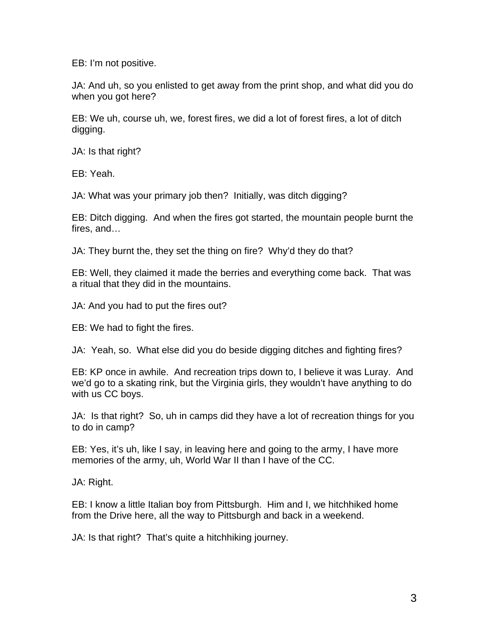EB: I'm not positive.

JA: And uh, so you enlisted to get away from the print shop, and what did you do when you got here?

EB: We uh, course uh, we, forest fires, we did a lot of forest fires, a lot of ditch digging.

JA: Is that right?

EB: Yeah.

JA: What was your primary job then? Initially, was ditch digging?

EB: Ditch digging. And when the fires got started, the mountain people burnt the fires, and…

JA: They burnt the, they set the thing on fire? Why'd they do that?

EB: Well, they claimed it made the berries and everything come back. That was a ritual that they did in the mountains.

JA: And you had to put the fires out?

EB: We had to fight the fires.

JA: Yeah, so. What else did you do beside digging ditches and fighting fires?

EB: KP once in awhile. And recreation trips down to, I believe it was Luray. And we'd go to a skating rink, but the Virginia girls, they wouldn't have anything to do with us CC boys.

JA: Is that right? So, uh in camps did they have a lot of recreation things for you to do in camp?

EB: Yes, it's uh, like I say, in leaving here and going to the army, I have more memories of the army, uh, World War II than I have of the CC.

JA: Right.

EB: I know a little Italian boy from Pittsburgh. Him and I, we hitchhiked home from the Drive here, all the way to Pittsburgh and back in a weekend.

JA: Is that right? That's quite a hitchhiking journey.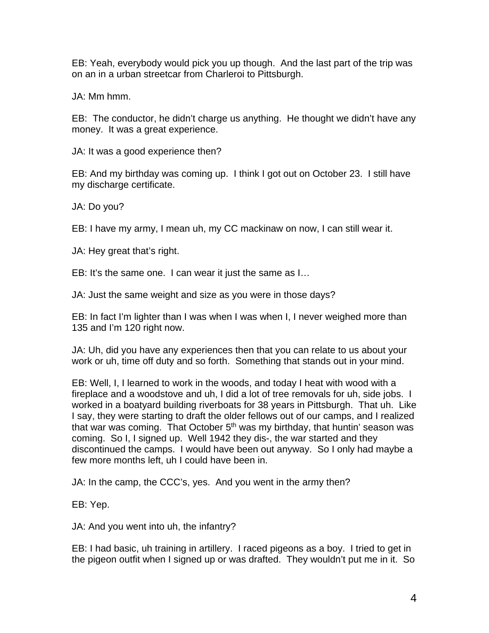EB: Yeah, everybody would pick you up though. And the last part of the trip was on an in a urban streetcar from Charleroi to Pittsburgh.

JA: Mm hmm.

EB: The conductor, he didn't charge us anything. He thought we didn't have any money. It was a great experience.

JA: It was a good experience then?

EB: And my birthday was coming up. I think I got out on October 23. I still have my discharge certificate.

JA: Do you?

EB: I have my army, I mean uh, my CC mackinaw on now, I can still wear it.

JA: Hey great that's right.

EB: It's the same one. I can wear it just the same as I…

JA: Just the same weight and size as you were in those days?

EB: In fact I'm lighter than I was when I was when I, I never weighed more than 135 and I'm 120 right now.

JA: Uh, did you have any experiences then that you can relate to us about your work or uh, time off duty and so forth. Something that stands out in your mind.

EB: Well, I, I learned to work in the woods, and today I heat with wood with a fireplace and a woodstove and uh, I did a lot of tree removals for uh, side jobs. I worked in a boatyard building riverboats for 38 years in Pittsburgh. That uh. Like I say, they were starting to draft the older fellows out of our camps, and I realized that war was coming. That October  $5<sup>th</sup>$  was my birthday, that huntin' season was coming. So I, I signed up. Well 1942 they dis-, the war started and they discontinued the camps. I would have been out anyway. So I only had maybe a few more months left, uh I could have been in.

JA: In the camp, the CCC's, yes. And you went in the army then?

EB: Yep.

JA: And you went into uh, the infantry?

EB: I had basic, uh training in artillery. I raced pigeons as a boy. I tried to get in the pigeon outfit when I signed up or was drafted. They wouldn't put me in it. So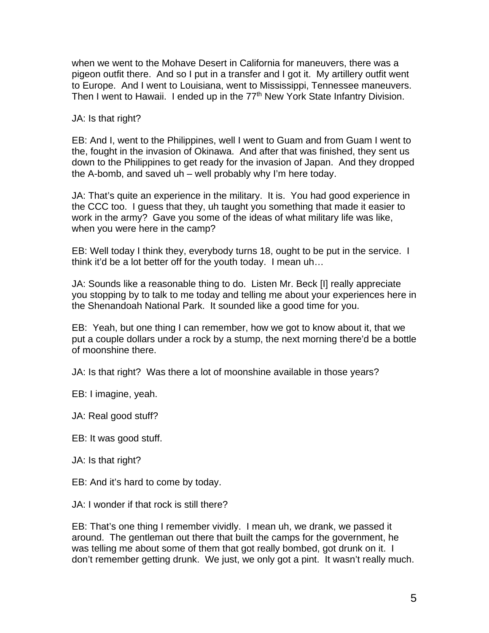when we went to the Mohave Desert in California for maneuvers, there was a pigeon outfit there. And so I put in a transfer and I got it. My artillery outfit went to Europe. And I went to Louisiana, went to Mississippi, Tennessee maneuvers. Then I went to Hawaii. I ended up in the 77<sup>th</sup> New York State Infantry Division.

JA: Is that right?

EB: And I, went to the Philippines, well I went to Guam and from Guam I went to the, fought in the invasion of Okinawa. And after that was finished, they sent us down to the Philippines to get ready for the invasion of Japan. And they dropped the A-bomb, and saved uh – well probably why I'm here today.

JA: That's quite an experience in the military. It is. You had good experience in the CCC too. I guess that they, uh taught you something that made it easier to work in the army? Gave you some of the ideas of what military life was like, when you were here in the camp?

EB: Well today I think they, everybody turns 18, ought to be put in the service. I think it'd be a lot better off for the youth today. I mean uh…

JA: Sounds like a reasonable thing to do. Listen Mr. Beck [I] really appreciate you stopping by to talk to me today and telling me about your experiences here in the Shenandoah National Park. It sounded like a good time for you.

EB: Yeah, but one thing I can remember, how we got to know about it, that we put a couple dollars under a rock by a stump, the next morning there'd be a bottle of moonshine there.

JA: Is that right? Was there a lot of moonshine available in those years?

EB: I imagine, yeah.

JA: Real good stuff?

EB: It was good stuff.

JA: Is that right?

EB: And it's hard to come by today.

JA: I wonder if that rock is still there?

EB: That's one thing I remember vividly. I mean uh, we drank, we passed it around. The gentleman out there that built the camps for the government, he was telling me about some of them that got really bombed, got drunk on it. I don't remember getting drunk. We just, we only got a pint. It wasn't really much.